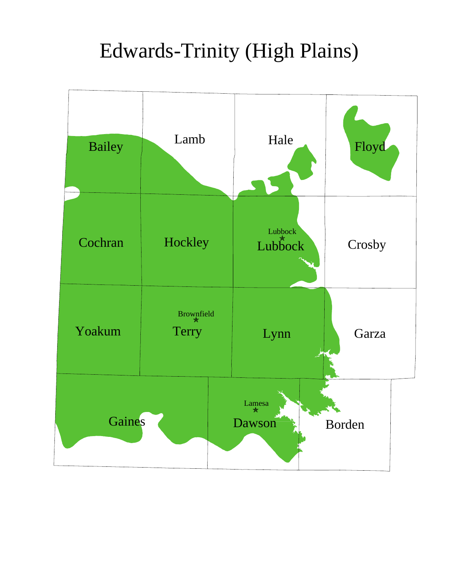## Edwards-Trinity (High Plains)